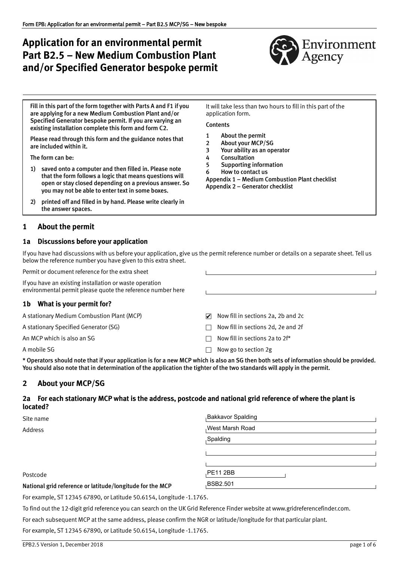# **Application for an environmental permit Part B2.5 – New Medium Combustion Plant and/or Specified Generator bespoke permit**



Fill in this part of the form together with Parts A and F1 if you are applying for a new Medium Combustion Plant and/or Specified Generator bespoke permit. If you are varying an existing installation complete this form and form C2.

Please read through this form and the guidance notes that are included within it.

The form can be:

- 1) saved onto a computer and then filled in. Please note that the form follows a logic that means questions will open or stay closed depending on a previous answer. So you may not be able to enter text in some boxes.
- 2) printed off and filled in by hand. Please write clearly in the answer spaces.

## **1 About the permit**

#### **1a Discussions before your application**

If you have had discussions with us before your application, give us the permit reference number or details on a separate sheet. Tell us below the reference number you have given to this extra sheet.

Permit or document reference for the extra sheet

If you have an existing installation or waste operation environmental permit please quote the reference number here

#### **1b What is your permit for?**

A stationary Medium Combustion Plant (MCP)

A stationary Specified Generator (SG) A stationary Specified Generator (SG) A stations 2d, 2e and 2f

It will take less than two hours to fill in this part of the application form.

## **Contents**

- 1 About the permit
- 2 About your MCP/SG<br>3 Your ability as an op
- 3 [Your ability as an operator](#page-3-0)
- 4 [Consultation](#page-4-0)<br>5 Supporting in
- 5 [Supporting information](#page-4-0) [How to contact us](#page-4-0)

[Appendix 1 – Medium Combustion Plant checklist](#page-5-0)

[Appendix 2 – Generator checklist](#page-5-0)

- ▶ Now fill in sections 2a, 2b and 2c
- 
- An MCP which is also an SG  $\Box$  Now fill in sections 2a to 2f\*
- A mobile SG  $\Box$  Now go to section 2g

\* Operators should note that if your application is for a new MCP which is also an SG then both sets of information should be provided. You should also note that in determination of the application the tighter of the two standards will apply in the permit.

# **2 About your MCP/SG**

#### **2a For each stationary MCP what is the address, postcode and national grid reference of where the plant is located?**

| Site name                                                 | ,Bakkavor Spalding<br>West Marsh Road |  |  |
|-----------------------------------------------------------|---------------------------------------|--|--|
| Address                                                   |                                       |  |  |
|                                                           | Spalding                              |  |  |
|                                                           |                                       |  |  |
|                                                           |                                       |  |  |
| Postcode                                                  | PE11 2BB                              |  |  |
| National grid reference or latitude/longitude for the MCP | BSB2.501                              |  |  |
|                                                           |                                       |  |  |

For example, ST 12345 67890, or Latitude 50.6154, Longitude ‐1.1765.

To find out the 12‐digit grid reference you can search on the UK Grid Reference Finder website at [www.gridreferencefinder.com.](http://www.gridreferencefinder.com/) 

For each subsequent MCP at the same address, please confirm the NGR or latitude/longitude for that particular plant.

For example, ST 12345 67890, or Latitude 50.6154, Longitude ‐1.1765.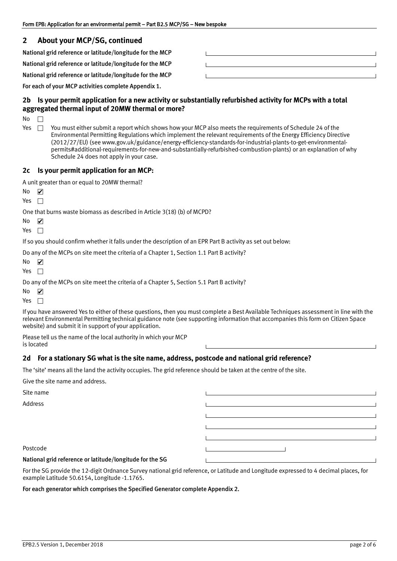# **2 About your MCP/SG, continued**

| National grid reference or latitude/longitude for the MCP |  |
|-----------------------------------------------------------|--|
| National grid reference or latitude/longitude for the MCP |  |
| National grid reference or latitude/longitude for the MCP |  |
| For each of your MCP activities complete Appendix 1.      |  |

## **2b Is your permit application for a new activity or substantially refurbished activity for MCPs with a total aggregated thermal input of 20MW thermal or more?**

No  $\Box$ 

Yes  $\Box$  You must either submit a report which shows how your MCP also meets the requirements of Schedule 24 of the Environmental Permitting Regulations which implement the relevant requirements of the Energy Efficiency Directive (2012/27/EU) (see www.gov.u[k/guidance/energy‐efficiency‐standards‐for‐industrial‐plants‐to‐get‐environmental‐](https://www.gov.uk/guidance/energy-efficiency-standards-for-industrial-plants-to-get-environmental-permits#additional-requirements-for-new-and-substantially-refurbished-combustion-plants) p[ermits#additional‐requirements‐for‐new‐and‐substantially‐refurbished‐combustion‐plants](https://www.gov.uk/guidance/energy-efficiency-standards-for-industrial-plants-to-get-environmental-permits#additional-requirements-for-new-and-substantially-refurbished-combustion-plants)) or an explanation of why Schedule 24 does not apply in your case.

#### **2c Is your permit application for an MCP:**

A unit greater than or equal to 20MW thermal?

Yes  $\square$ 

One that burns waste biomass as described in Article 3(18) (b) of MCPD?

No  $\blacksquare$ 

Yes  $\Box$ 

If so you should confirm whether it falls under the description of an EPR Part B activity as set out below:

Do any of the MCPs on site meet the criteria of a Chapter 1, Section 1.1 Part B activity?

No ✔

Yes  $\Box$ 

Do any of the MCPs on site meet the criteria of a Chapter 5, Section 5.1 Part B activity?

No ✔

Yes  $\square$ 

If you have answered Yes to either of these questions, then you must complete a Best Available Techniques assessment in line with the relevant Environmental Permitting technical guidance note (see supporting information that accompanies this form on Citizen Space website) and submit it in support of your application.

Please tell us the name of the local authority in which your MCP is located

## **2d For a stationary SG what is the site name, address, postcode and national grid reference?**

The 'site' means all the land the activity occupies. The grid reference should be taken at the centre of the site.

Give the site name and address.

| Site name                                                                                                          |                                                                                                                      |
|--------------------------------------------------------------------------------------------------------------------|----------------------------------------------------------------------------------------------------------------------|
| Address                                                                                                            | <u> 1980 - Jan James James James James James James James James James James James James James James James James J</u> |
|                                                                                                                    |                                                                                                                      |
|                                                                                                                    |                                                                                                                      |
|                                                                                                                    |                                                                                                                      |
| Postcode                                                                                                           |                                                                                                                      |
| National grid reference or latitude/longitude for the SG                                                           |                                                                                                                      |
| واللانا والمتحال المتاري والمتحال والمتحال والمتحال والمتحال والمتحال والمتحال والمتحال والمتحال والمتحال والمتحال |                                                                                                                      |

For the SG provide the 12‐digit Ordnance Survey national grid reference, or Latitude and Longitude expressed to 4 decimal places, for example Latitude 50.6154, Longitude ‐1.1765.

For each generator which comprises the Specified Generator complete Appendix 2.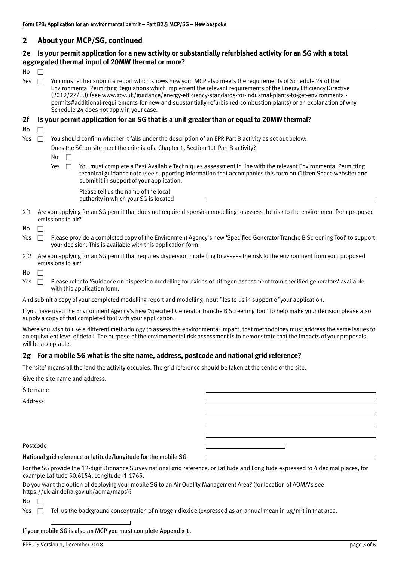## **2 About your MCP/SG, continued**

## **2e Is your permit application for a new activity or substantially refurbished activity for an SG with a total aggregated thermal input of 20MW thermal or more?**

 $\mathsf{No}$   $\Box$ 

Yes  $\Box$  You must either submit a report which shows how your MCP also meets the requirements of Schedule 24 of the Environmental Permitting Regulations which implement the relevant requirements of the Energy Efficiency Directive (2012/27/EU) (see [www.gov.uk/guidance/energy‐efficiency‐standards‐for‐industrial‐plants‐to‐get‐environmental‐](https://www.gov.uk/guidance/energy-efficiency-standards-for-industrial-plants-to-get-environmental-permits#additional-requirements-for-new-and-substantially-refurbished-combustion-plants) [permits#additional‐requirements‐for‐new‐and‐substantially‐refurbished‐combustion‐plants](https://www.gov.uk/guidance/energy-efficiency-standards-for-industrial-plants-to-get-environmental-permits#additional-requirements-for-new-and-substantially-refurbished-combustion-plants)) or an explanation of why Schedule 24 does not apply in your case.

#### **2f Is your permit application for an SG that is a unit greater than or equal to 20MW thermal?**

- $No \quad \Box$
- Yes  $\Box$  You should confirm whether it falls under the description of an EPR Part B activity as set out below:
	- Does the SG on site meet the criteria of a Chapter 1, Section 1.1 Part B activity?

 $No \ \ \Box$ 

Yes  $\Box$  You must complete a Best Available Techniques assessment in line with the relevant Environmental Permitting technical guidance note (see supporting information that accompanies this form on Citizen Space website) and submit it in support of your application.

Please tell us the name of the local authority in which your SG is located

2f1 Are you applying for an SG permit that does not require dispersion modelling to assess the risk to the environment from proposed emissions to air?

 $No \quad \Box$ 

- Yes  $\Box$  Please provide a completed copy of the Environment Agency's new 'Specified Generator Tranche B Screening Tool' to support your decision. This is available with this application form.
- 2f2 Are you applying for an SG permit that requires dispersion modelling to assess the risk to the environment from your proposed emissions to air?

No  $\Box$ 

Yes  $\Box$  Please refer to 'Guidance on dispersion modelling for oxides of nitrogen assessment from specified generators' available with this application form.

And submit a copy of your completed modelling report and modelling input files to us in support of your application.

If you have used the Environment Agency's new 'Specified Generator Tranche B Screening Tool' to help make your decision please also supply a copy of that completed tool with your application.

Where you wish to use a different methodology to assess the environmental impact, that methodology must address the same issues to an equivalent level of detail. The purpose of the environmental risk assessment is to demonstrate that the impacts of your proposals will be acceptable.

#### **2g For a mobile SG what is the site name, address, postcode and national grid reference?**

The 'site' means all the land the activity occupies. The grid reference should be taken at the centre of the site.

Give the site name and address.

| Site name                                                                                                                                                                             |  |  |  |
|---------------------------------------------------------------------------------------------------------------------------------------------------------------------------------------|--|--|--|
| Address                                                                                                                                                                               |  |  |  |
|                                                                                                                                                                                       |  |  |  |
|                                                                                                                                                                                       |  |  |  |
|                                                                                                                                                                                       |  |  |  |
| Postcode                                                                                                                                                                              |  |  |  |
| National grid reference or latitude/longitude for the mobile SG                                                                                                                       |  |  |  |
| For the SG provide the 12-digit Ordnance Survey national grid reference, or Latitude and Longitude expressed to 4 decimal places, for<br>example Latitude 50.6154, Longitude -1.1765. |  |  |  |
| Do you want the option of deploying your mobile SG to an Air Quality Management Area? (for location of AQMA's see<br>https://uk-air.defra.gov.uk/aqma/maps)?                          |  |  |  |

No  $\Box$ 

Yes  $\Box$  Tell us the background concentration of nitrogen dioxide (expressed as an annual mean in  $\mu$ g/m<sup>3</sup>) in that area.

If your mobile SG is also an MCP you must complete Appendix 1.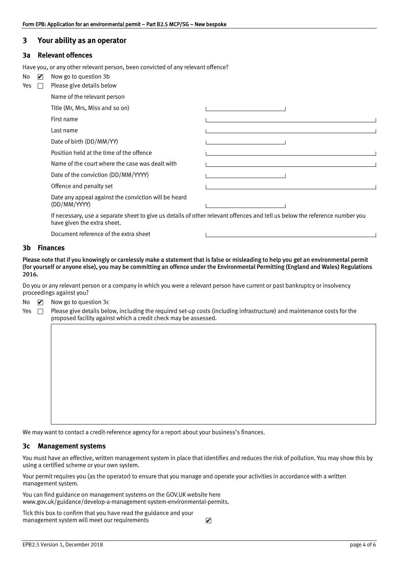#### <span id="page-3-0"></span>**3 Your ability as an operator**

#### **3a Relevant offences**

Have you, or any other relevant person, been convicted of any relevant offence?

| No  | ☑ | Now go to question 3b                                                |                                                                                                                             |
|-----|---|----------------------------------------------------------------------|-----------------------------------------------------------------------------------------------------------------------------|
| Yes |   | Please give details below                                            |                                                                                                                             |
|     |   | Name of the relevant person                                          |                                                                                                                             |
|     |   | Title (Mr, Mrs, Miss and so on)                                      |                                                                                                                             |
|     |   | First name                                                           |                                                                                                                             |
|     |   | Last name                                                            |                                                                                                                             |
|     |   | Date of birth (DD/MM/YY)                                             |                                                                                                                             |
|     |   | Position held at the time of the offence                             |                                                                                                                             |
|     |   | Name of the court where the case was dealt with                      |                                                                                                                             |
|     |   | Date of the conviction (DD/MM/YYYY)                                  |                                                                                                                             |
|     |   | Offence and penalty set                                              |                                                                                                                             |
|     |   | Date any appeal against the conviction will be heard<br>(DD/MM/YYYY) |                                                                                                                             |
|     |   | have given the extra sheet.                                          | If necessary, use a separate sheet to give us details of other relevant offences and tell us below the reference number you |

Document reference of the extra sheet

#### **3b Finances**

Please note that if you knowingly or carelessly make a statement that is false or misleading to help you get an environmental permit (for yourself or anyone else), you may be committing an offence under the Environmental Permitting (England and Wales) Regulations 2016.

Do you or any relevant person or a company in which you were a relevant person have current or past bankruptcy or insolvency proceedings against you?

- No  $\Box$  Now go to question 3c ✔
- Yes  $\Box$  Please give details below, including the required set-up costs (including infrastructure) and maintenance costs for the proposed facility against which a credit check may be assessed.

We may want to contact a credit‐reference agency for a report about your business's finances.

#### **3c Management systems**

You must have an effective, written management system in place that identifies and reduces the risk of pollution. You may show this by using a certified scheme or your own system.

Your permit requires you (as the operator) to ensure that you manage and operate your activities in accordance with a written management system.

You can find guidance on management systems on the GOV.UK website here www.gov.uk/guidance/de[velop‐a‐management‐system‐environmental‐permits](https://www.gov.uk/guidance/develop-a-management-system-environmental-permits).

Tick this box to confirm that you have read the guidance and your management system will meet our requirements ✔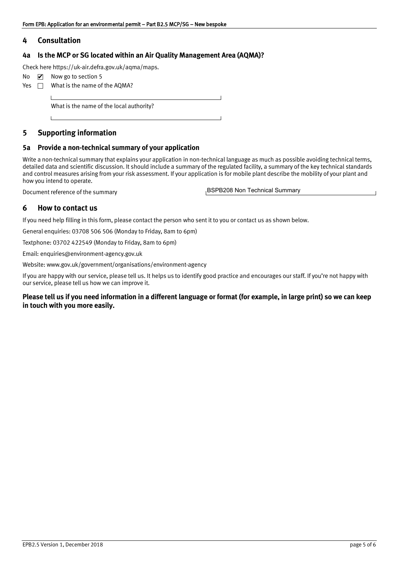## <span id="page-4-0"></span>**4 Consultation**

## **4a Is the MCP or SG located within an Air Quality Management Area (AQMA)?**

Check here [https://uk‐air.defra.gov.uk/aqma/maps](https://uk-air.defra.gov.uk/aqma/maps).

- No  $\triangleright$  Now go to section 5 ✔
- Yes  $\Box$  What is the name of the AQMA?

What is the name of the local authority?

# **5 Supporting information**

## **5a Provide a non‐technical summary of your application**

Write a non-technical summary that explains your application in non-technical language as much as possible avoiding technical terms, detailed data and scientific discussion. It should include a summary of the regulated facility, a summary of the key technical standards and control measures arising from your risk assessment. If your application is for mobile plant describe the mobility of your plant and how you intend to operate.

Document reference of the summary

BSPB208 Non Technical Summary

## **6 How to contact us**

If you need help filling in this form, please contact the person who sent it to you or contact us as shown below.

General enquiries: 03708 506 506 (Monday to Friday, 8am to 6pm)

Textphone: 03702 422549 (Monday to Friday, 8am to 6pm)

Email: [enquiries@environment‐agency.gov.uk](mailto:enquiries@environment-agency.gov.uk)

Website: [www.gov.uk/government/organisations/environment‐agency](http://www.gov.uk/government/organisations/environment-agency)

If you are happy with our service, please tell us. It helps us to identify good practice and encourages our staff. If you're not happy with our service, please tell us how we can improve it.

## **Please tell us if you need information in a different language or format (for example, in large print) so we can keep in touch with you more easily.**